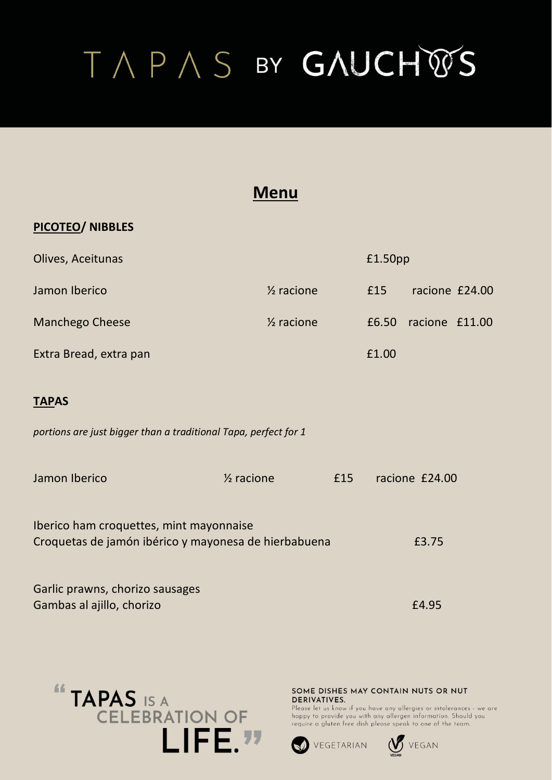### **Menu**

#### **PICOTEO/ NIBBLES**

| Olives, Aceitunas      |                       | £1.50pp |                |  |
|------------------------|-----------------------|---------|----------------|--|
| Jamon Iberico          | $\frac{1}{2}$ racione | £15     | racione £24.00 |  |
| <b>Manchego Cheese</b> | $\frac{1}{2}$ racione | £6.50   | racione £11.00 |  |
| Extra Bread, extra pan |                       | £1.00   |                |  |

#### **TAPAS**

*portions are just bigger than a traditional Tapa, perfect for 1*

| Jamon Iberico                           | $\frac{1}{2}$ racione                                | £15 | racione £24.00 |
|-----------------------------------------|------------------------------------------------------|-----|----------------|
| Iberico ham croquettes, mint mayonnaise | Croquetas de jamón ibérico y mayonesa de hierbabuena |     | £3.75          |
|                                         |                                                      |     |                |
| Garlic prawns, chorizo sausages         |                                                      |     |                |
| Gambas al ajillo, chorizo               |                                                      |     | £4.95          |



SOME DISHES MAY CONTAIN NUTS OR NUT **DERIVATIVES.** 



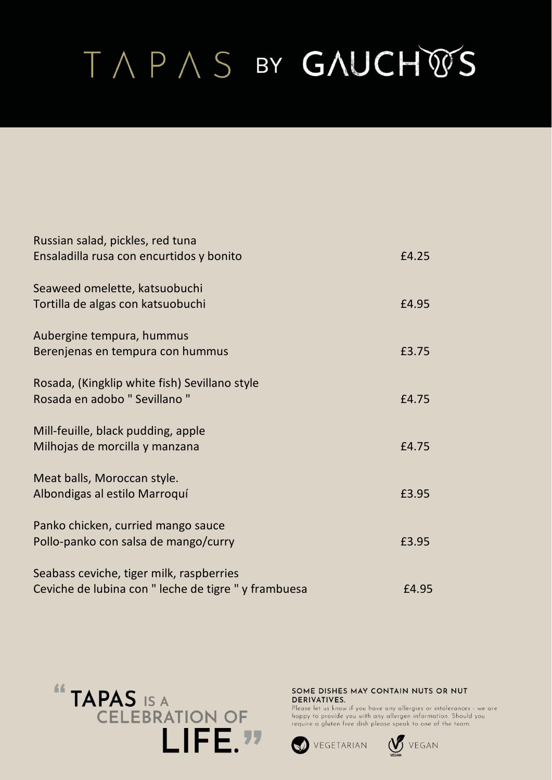| Russian salad, pickles, red tuna                     |       |
|------------------------------------------------------|-------|
| Ensaladilla rusa con encurtidos y bonito             | £4.25 |
| Seaweed omelette, katsuobuchi                        |       |
| Tortilla de algas con katsuobuchi                    | £4.95 |
| Aubergine tempura, hummus                            |       |
| Berenjenas en tempura con hummus                     | £3.75 |
| Rosada, (Kingklip white fish) Sevillano style        |       |
| Rosada en adobo " Sevillano "                        | £4.75 |
| Mill-feuille, black pudding, apple                   |       |
| Milhojas de morcilla y manzana                       | £4.75 |
| Meat balls, Moroccan style.                          |       |
| Albondigas al estilo Marroquí                        | £3.95 |
| Panko chicken, curried mango sauce                   |       |
| Pollo-panko con salsa de mango/curry                 | £3.95 |
| Seabass ceviche, tiger milk, raspberries             |       |
| Ceviche de lubina con " leche de tigre " y frambuesa | £4.95 |



#### SOME DISHES MAY CONTAIN NUTS OR NUT DERIVATIVES.



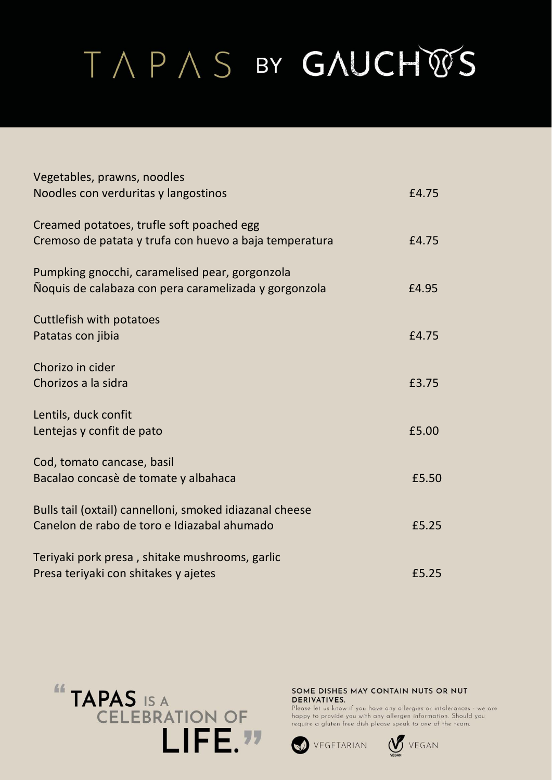| Vegetables, prawns, noodles                             |       |
|---------------------------------------------------------|-------|
| Noodles con verduritas y langostinos                    | £4.75 |
| Creamed potatoes, trufle soft poached egg               |       |
| Cremoso de patata y trufa con huevo a baja temperatura  | £4.75 |
| Pumpking gnocchi, caramelised pear, gorgonzola          |       |
| Noquis de calabaza con pera caramelizada y gorgonzola   | £4.95 |
| Cuttlefish with potatoes                                |       |
| Patatas con jibia                                       | £4.75 |
| Chorizo in cider                                        |       |
| Chorizos a la sidra                                     | £3.75 |
| Lentils, duck confit                                    |       |
| Lentejas y confit de pato                               | £5.00 |
| Cod, tomato cancase, basil                              |       |
| Bacalao concasè de tomate y albahaca                    | £5.50 |
| Bulls tail (oxtail) cannelloni, smoked idiazanal cheese |       |
| Canelon de rabo de toro e Idiazabal ahumado             | £5.25 |
| Teriyaki pork presa, shitake mushrooms, garlic          |       |
| Presa teriyaki con shitakes y ajetes                    | £5.25 |



SOME DISHES MAY CONTAIN NUTS OR NUT DERIVATIVES.



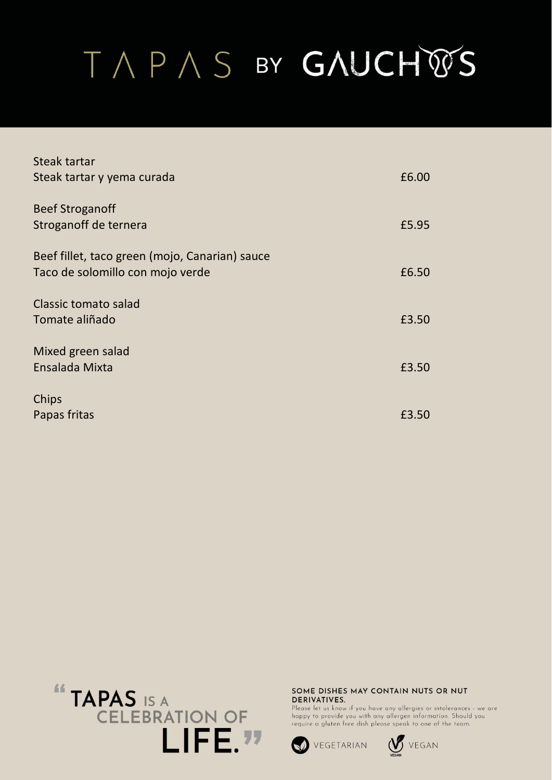| Steak tartar                                   |       |
|------------------------------------------------|-------|
| Steak tartar y yema curada                     | £6.00 |
| <b>Beef Stroganoff</b>                         |       |
| Stroganoff de ternera                          | £5.95 |
| Beef fillet, taco green (mojo, Canarian) sauce |       |
| Taco de solomillo con mojo verde               | £6.50 |
| Classic tomato salad                           |       |
| Tomate aliñado                                 | £3.50 |
| Mixed green salad                              |       |
| Ensalada Mixta                                 | £3.50 |
| Chips                                          |       |
| Papas fritas                                   | £3.50 |



#### SOME DISHES MAY CONTAIN NUTS OR NUT DERIVATIVES.